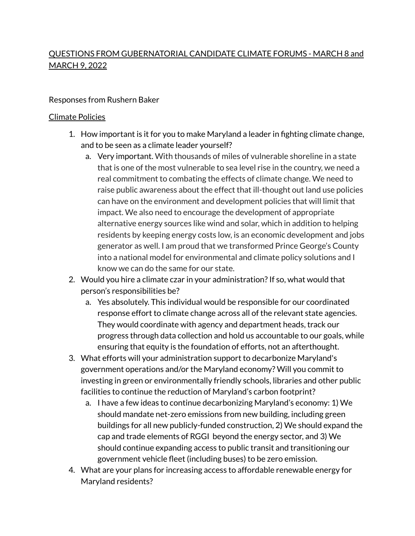# QUESTIONS FROM GUBERNATORIAL CANDIDATE CLIMATE FORUMS - MARCH 8 and MARCH 9, 2022

#### Responses from Rushern Baker

#### Climate Policies

- 1. How important is it for you to make Maryland a leader in fighting climate change, and to be seen as a climate leader yourself?
	- a. Very important. With thousands of miles of vulnerable shoreline in a state that is one of the most vulnerable to sea level rise in the country, we need a real commitment to combating the effects of climate change. We need to raise public awareness about the effect that ill-thought out land use policies can have on the environment and development policies that will limit that impact. We also need to encourage the development of appropriate alternative energy sources like wind and solar, which in addition to helping residents by keeping energy costs low, is an economic development and jobs generator as well. I am proud that we transformed Prince George's County into a national model for environmental and climate policy solutions and I know we can do the same for our state.
- 2. Would you hire a climate czar in your administration? If so, what would that person's responsibilities be?
	- a. Yes absolutely. This individual would be responsible for our coordinated response effort to climate change across all of the relevant state agencies. They would coordinate with agency and department heads, track our progress through data collection and hold us accountable to our goals, while ensuring that equity is the foundation of efforts, not an afterthought.
- 3. What efforts will your administration support to decarbonize Maryland's government operations and/or the Maryland economy? Will you commit to investing in green or environmentally friendly schools, libraries and other public facilities to continue the reduction of Maryland's carbon footprint?
	- a. I have a few ideas to continue decarbonizing Maryland's economy: 1) We should mandate net-zero emissions from new building, including green buildings for all new publicly-funded construction, 2) We should expand the cap and trade elements of RGGI beyond the energy sector, and 3) We should continue expanding access to public transit and transitioning our government vehicle fleet (including buses) to be zero emission.
- 4. What are your plans for increasing access to affordable renewable energy for Maryland residents?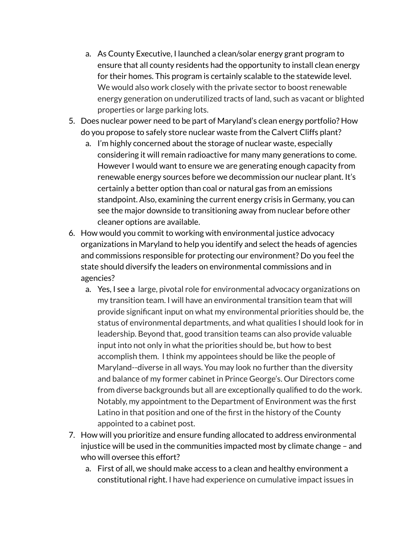- a. As County Executive, I launched a clean/solar energy grant program to ensure that all county residents had the opportunity to install clean energy for their homes. This program is certainly scalable to the statewide level. We would also work closely with the private sector to boost renewable energy generation on underutilized tracts of land, such as vacant or blighted properties or large parking lots.
- 5. Does nuclear power need to be part of Maryland's clean energy portfolio? How do you propose to safely store nuclear waste from the Calvert Cliffs plant?
	- a. I'm highly concerned about the storage of nuclear waste, especially considering it will remain radioactive for many many generations to come. However I would want to ensure we are generating enough capacity from renewable energy sources before we decommission our nuclear plant. It's certainly a better option than coal or natural gas from an emissions standpoint. Also, examining the current energy crisis in Germany, you can see the major downside to transitioning away from nuclear before other cleaner options are available.
- 6. How would you commit to working with environmental justice advocacy organizations in Maryland to help you identify and select the heads of agencies and commissions responsible for protecting our environment? Do you feel the state should diversify the leaders on environmental commissions and in agencies?
	- a. Yes, I see a large, pivotal role for environmental advocacy organizations on my transition team. I will have an environmental transition team that will provide significant input on what my environmental priorities should be, the status of environmental departments, and what qualities I should look for in leadership. Beyond that, good transition teams can also provide valuable input into not only in what the priorities should be, but how to best accomplish them. I think my appointees should be like the people of Maryland--diverse in all ways. You may look no further than the diversity and balance of my former cabinet in Prince George's. Our Directors come from diverse backgrounds but all are exceptionally qualified to do the work. Notably, my appointment to the Department of Environment was the first Latino in that position and one of the first in the history of the County appointed to a cabinet post.
- 7. How will you prioritize and ensure funding allocated to address environmental injustice will be used in the communities impacted most by climate change – and who will oversee this effort?
	- a. First of all, we should make access to a clean and healthy environment a constitutional right. I have had experience on cumulative impact issues in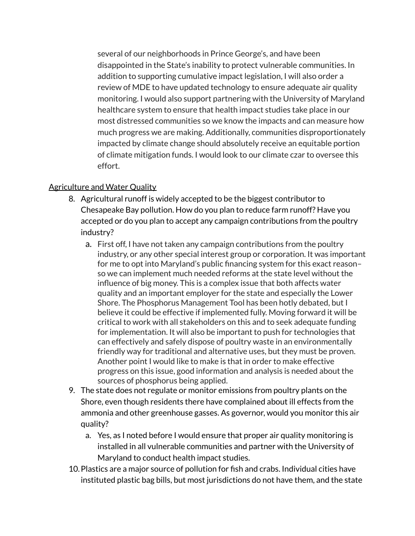several of our neighborhoods in Prince George's, and have been disappointed in the State's inability to protect vulnerable communities. In addition to supporting cumulative impact legislation, I will also order a review of MDE to have updated technology to ensure adequate air quality monitoring. I would also support partnering with the University of Maryland healthcare system to ensure that health impact studies take place in our most distressed communities so we know the impacts and can measure how much progress we are making. Additionally, communities disproportionately impacted by climate change should absolutely receive an equitable portion of climate mitigation funds. I would look to our climate czar to oversee this effort.

# Agriculture and Water Quality

- 8. Agricultural runoff is widely accepted to be the biggest contributor to Chesapeake Bay pollution. How do you plan to reduce farm runoff? Have you accepted or do you plan to accept any campaign contributions from the poultry industry?
	- a. First off, I have not taken any campaign contributions from the poultry industry, or any other special interest group or corporation. It was important for me to opt into Maryland's public financing system for this exact reason– so we can implement much needed reforms at the state level without the influence of big money. This is a complex issue that both affects water quality and an important employer for the state and especially the Lower Shore. The Phosphorus Management Tool has been hotly debated, but I believe it could be effective if implemented fully. Moving forward it will be critical to work with all stakeholders on this and to seek adequate funding for implementation. It will also be important to push for technologies that can effectively and safely dispose of poultry waste in an environmentally friendly way for traditional and alternative uses, but they must be proven. Another point I would like to make is that in order to make effective progress on this issue, good information and analysis is needed about the sources of phosphorus being applied.
- 9. The state does not regulate or monitor emissions from poultry plants on the Shore, even though residents there have complained about ill effects from the ammonia and other greenhouse gasses. As governor, would you monitor this air quality?
	- a. Yes, as I noted before I would ensure that proper air quality monitoring is installed in all vulnerable communities and partner with the University of Maryland to conduct health impact studies.
- 10.Plastics are a major source of pollution for fish and crabs. Individual cities have instituted plastic bag bills, but most jurisdictions do not have them, and the state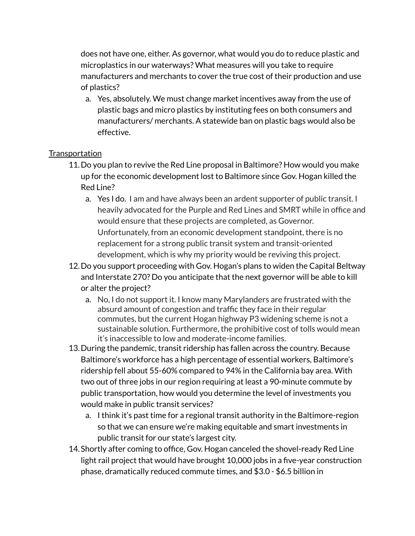does not have one, either. As governor, what would you do to reduce plastic and microplastics in our waterways? What measures will you take to require manufacturers and merchants to cover the true cost of their production and use of plastics?

a. Yes, absolutely. We must change market incentives away from the use of plastic bags and micro plastics by instituting fees on both consumers and manufacturers/ merchants. A statewide ban on plastic bags would also be effective.

# **Transportation**

- 11.Do you plan to revive the Red Line proposal in Baltimore? How would you make up for the economic development lost to Baltimore since Gov. Hogan killed the Red Line?
	- a. Yes I do. I am and have always been an ardent supporter of public transit. I heavily advocated for the Purple and Red Lines and SMRT while in office and would ensure that these projects are completed, as Governor. Unfortunately, from an economic development standpoint, there is no replacement for a strong public transit system and transit-oriented development, which is why my priority would be reviving this project.
- 12.Do you support proceeding with Gov. Hogan's plans to widen the Capital Beltway and Interstate 270? Do you anticipate that the next governor will be able to kill or alter the project?
	- a. No, I do not support it. I know many Marylanders are frustrated with the absurd amount of congestion and traffic they face in their regular commutes, but the current Hogan highway P3 widening scheme is not a sustainable solution. Furthermore, the prohibitive cost of tolls would mean it's inaccessible to low and moderate-income families.
- 13.During the pandemic, transit ridership has fallen across the country. Because Baltimore's workforce has a high percentage of essential workers, Baltimore's ridership fell about 55-60% compared to 94% in the California bay area. With two out of three jobs in our region requiring at least a 90-minute commute by public transportation, how would you determine the level of investments you would make in public transit services?
	- a. I think it's past time for a regional transit authority in the Baltimore-region so that we can ensure we're making equitable and smart investments in public transit for our state's largest city.
- 14.Shortly after coming to office, Gov. Hogan canceled the shovel-ready Red Line light rail project that would have brought 10,000 jobs in a five-year construction phase, dramatically reduced commute times, and \$3.0 - \$6.5 billion in